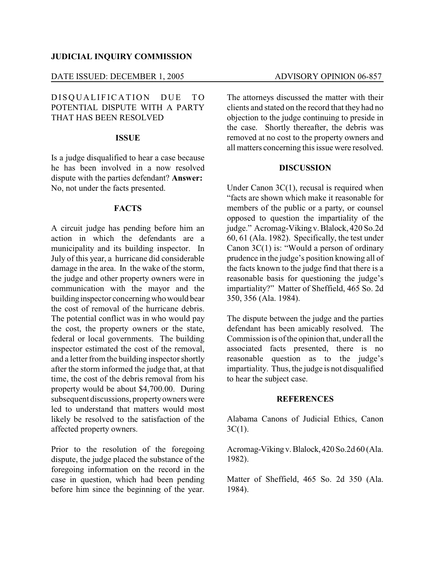#### **JUDICIAL INQUIRY COMMISSION**

#### DATE ISSUED: DECEMBER 1, 2005 ADVISORY OPINION 06-857

# DISOUALIFICATION DUE TO POTENTIAL DISPUTE WITH A PARTY THAT HAS BEEN RESOLVED

## **ISSUE**

Is a judge disqualified to hear a case because he has been involved in a now resolved dispute with the parties defendant? **Answer:** No, not under the facts presented.

## **FACTS**

A circuit judge has pending before him an action in which the defendants are a municipality and its building inspector. In July of this year, a hurricane did considerable damage in the area. In the wake of the storm, the judge and other property owners were in communication with the mayor and the building inspector concerningwho would bear the cost of removal of the hurricane debris. The potential conflict was in who would pay the cost, the property owners or the state, federal or local governments. The building inspector estimated the cost of the removal, and a letter from the building inspector shortly after the storm informed the judge that, at that time, the cost of the debris removal from his property would be about \$4,700.00. During subsequent discussions, propertyowners were led to understand that matters would most likely be resolved to the satisfaction of the affected property owners.

Prior to the resolution of the foregoing dispute, the judge placed the substance of the foregoing information on the record in the case in question, which had been pending before him since the beginning of the year.

The attorneys discussed the matter with their clients and stated on the record that they had no objection to the judge continuing to preside in the case. Shortly thereafter, the debris was removed at no cost to the property owners and all matters concerning this issue were resolved.

### **DISCUSSION**

Under Canon 3C(1), recusal is required when "facts are shown which make it reasonable for members of the public or a party, or counsel opposed to question the impartiality of the judge." Acromag-Viking v.Blalock, 420 So.2d 60, 61 (Ala. 1982). Specifically, the test under Canon 3C(1) is: "Would a person of ordinary prudence in the judge's position knowing all of the facts known to the judge find that there is a reasonable basis for questioning the judge's impartiality?" Matter of Sheffield, 465 So. 2d 350, 356 (Ala. 1984).

The dispute between the judge and the parties defendant has been amicably resolved. The Commission is of the opinion that, under all the associated facts presented, there is no reasonable question as to the judge's impartiality. Thus, the judge is not disqualified to hear the subject case.

## **REFERENCES**

Alabama Canons of Judicial Ethics, Canon 3C(1).

Acromag-Viking v.Blalock, 420 So.2d 60 (Ala. 1982).

Matter of Sheffield, 465 So. 2d 350 (Ala. 1984).